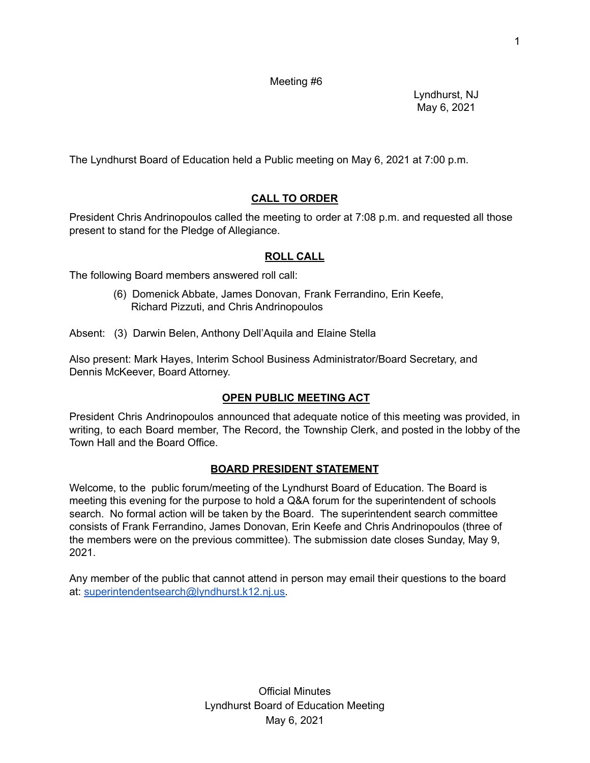Meeting #6

Lyndhurst, NJ May 6, 2021

The Lyndhurst Board of Education held a Public meeting on May 6, 2021 at 7:00 p.m.

# **CALL TO ORDER**

President Chris Andrinopoulos called the meeting to order at 7:08 p.m. and requested all those present to stand for the Pledge of Allegiance.

### **ROLL CALL**

The following Board members answered roll call:

(6) Domenick Abbate, James Donovan, Frank Ferrandino, Erin Keefe, Richard Pizzuti, and Chris Andrinopoulos

Absent: (3) Darwin Belen, Anthony Dell'Aquila and Elaine Stella

Also present: Mark Hayes, Interim School Business Administrator/Board Secretary, and Dennis McKeever, Board Attorney.

## **OPEN PUBLIC MEETING ACT**

President Chris Andrinopoulos announced that adequate notice of this meeting was provided, in writing, to each Board member, The Record, the Township Clerk, and posted in the lobby of the Town Hall and the Board Office.

## **BOARD PRESIDENT STATEMENT**

Welcome, to the public forum/meeting of the Lyndhurst Board of Education. The Board is meeting this evening for the purpose to hold a Q&A forum for the superintendent of schools search. No formal action will be taken by the Board. The superintendent search committee consists of Frank Ferrandino, James Donovan, Erin Keefe and Chris Andrinopoulos (three of the members were on the previous committee). The submission date closes Sunday, May 9, 2021.

Any member of the public that cannot attend in person may email their questions to the board at: [superintendentsearch@lyndhurst.k12.nj.us.](mailto:superintendentsearch@lyndhurst.k12.nj.us)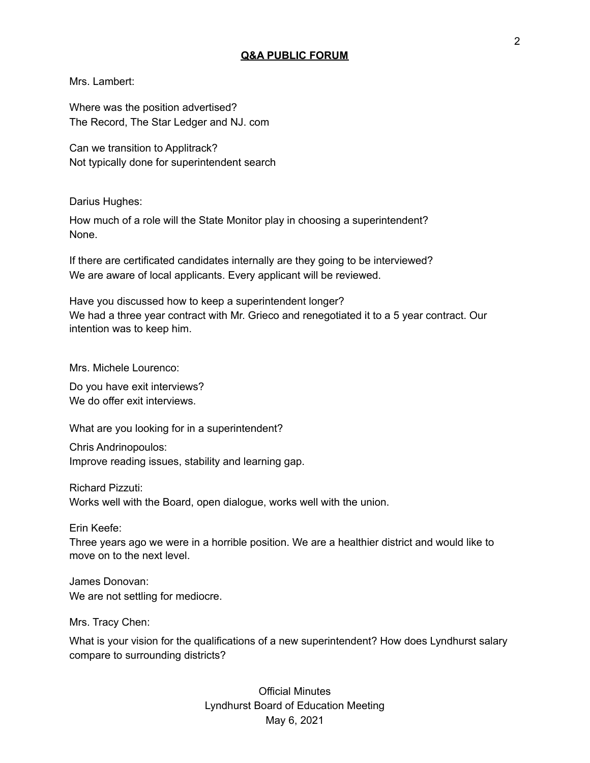#### **Q&A PUBLIC FORUM**

Mrs. Lambert:

Where was the position advertised? The Record, The Star Ledger and NJ. com

Can we transition to Applitrack? Not typically done for superintendent search

Darius Hughes:

How much of a role will the State Monitor play in choosing a superintendent? None.

If there are certificated candidates internally are they going to be interviewed? We are aware of local applicants. Every applicant will be reviewed.

Have you discussed how to keep a superintendent longer? We had a three year contract with Mr. Grieco and renegotiated it to a 5 year contract. Our intention was to keep him.

Mrs. Michele Lourenco:

Do you have exit interviews? We do offer exit interviews.

What are you looking for in a superintendent?

Chris Andrinopoulos: Improve reading issues, stability and learning gap.

Richard Pizzuti:

Works well with the Board, open dialogue, works well with the union.

Erin Keefe:

Three years ago we were in a horrible position. We are a healthier district and would like to move on to the next level.

James Donovan: We are not settling for mediocre.

Mrs. Tracy Chen:

What is your vision for the qualifications of a new superintendent? How does Lyndhurst salary compare to surrounding districts?

> Official Minutes Lyndhurst Board of Education Meeting May 6, 2021